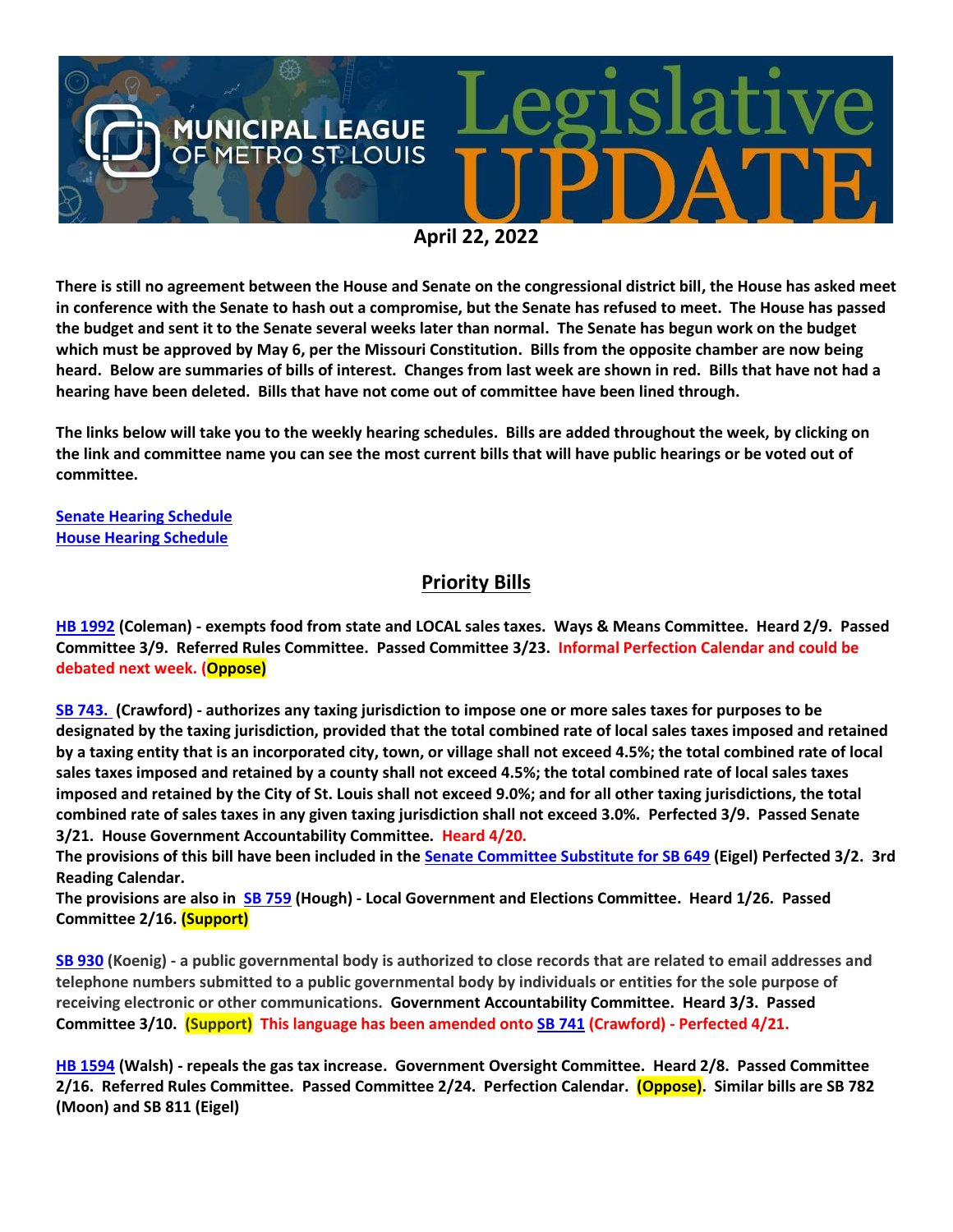

**April 22, 2022**

**There is still no agreement between the House and Senate on the congressional district bill, the House has asked meet in conference with the Senate to hash out a compromise, but the Senate has refused to meet. The House has passed the budget and sent it to the Senate several weeks later than normal. The Senate has begun work on the budget which must be approved by May 6, per the Missouri Constitution. Bills from the opposite chamber are now being heard. Below are summaries of bills of interest. Changes from last week are shown in red. Bills that have not had a hearing have been deleted. Bills that have not come out of committee have been lined through.**

**The links below will take you to the weekly hearing schedules. Bills are added throughout the week, by clicking on the link and committee name you can see the most current bills that will have public hearings or be voted out of committee.**

**[Senate Hearing Schedule](https://www.senate.mo.gov/hearingsschedule/hrings.htm) [House Hearing Schedule](https://www.house.mo.gov/AllHearings.aspx?sdid=01182022)** 

#### **Priority Bills**

**[HB 1992](https://house.mo.gov/Bill.aspx?bill=HB1992&year=2022&code=R) (Coleman) - exempts food from state and LOCAL sales taxes. Ways & Means Committee. Heard 2/9. Passed Committee 3/9. Referred Rules Committee. Passed Committee 3/23. Informal Perfection Calendar and could be debated next week. (Oppose)**

**[SB 743.](https://www.senate.mo.gov/22info/BTS_Web/Bill.aspx?SessionType=R&BillID=71260668) (Crawford) - authorizes any taxing jurisdiction to impose one or more sales taxes for purposes to be designated by the taxing jurisdiction, provided that the total combined rate of local sales taxes imposed and retained by a taxing entity that is an incorporated city, town, or village shall not exceed 4.5%; the total combined rate of local sales taxes imposed and retained by a county shall not exceed 4.5%; the total combined rate of local sales taxes imposed and retained by the City of St. Louis shall not exceed 9.0%; and for all other taxing jurisdictions, the total combined rate of sales taxes in any given taxing jurisdiction shall not exceed 3.0%. Perfected 3/9. Passed Senate 3/21. House Government Accountability Committee. Heard 4/20.**

**The provisions of this bill have been included in the [Senate Committee Substitute for SB 649](https://www.senate.mo.gov/22info/BTS_Web/Bill.aspx?SessionType=R&BillID=71259737) (Eigel) Perfected 3/2. 3rd Reading Calendar.** 

**The provisions are also in [SB 759](https://www.senate.mo.gov/22info/BTS_Web/Bill.aspx?SessionType=R&BillID=71259645) (Hough) - Local Government and Elections Committee. Heard 1/26. Passed Committee 2/16. (Support)** 

**[SB 930](https://www.senate.mo.gov/22info/BTS_Web/Bill.aspx?SessionType=R&BillID=71259916) (Koenig) - a public governmental body is authorized to close records that are related to email addresses and telephone numbers submitted to a public governmental body by individuals or entities for the sole purpose of receiving electronic or other communications. Government Accountability Committee. Heard 3/3. Passed Committee 3/10. (Support) This language has been amended onto [SB 741](https://www.senate.mo.gov/22info/BTS_Web/Bill.aspx?SessionType=R&BillID=71260666) (Crawford) - Perfected 4/21.**

**[HB 1594](https://house.mo.gov/Bill.aspx?bill=HB1594&year=2022&code=R) (Walsh) - repeals the gas tax increase. Government Oversight Committee. Heard 2/8. Passed Committee 2/16. Referred Rules Committee. Passed Committee 2/24. Perfection Calendar. (Oppose). Similar bills are SB 782 (Moon) and SB 811 (Eigel)**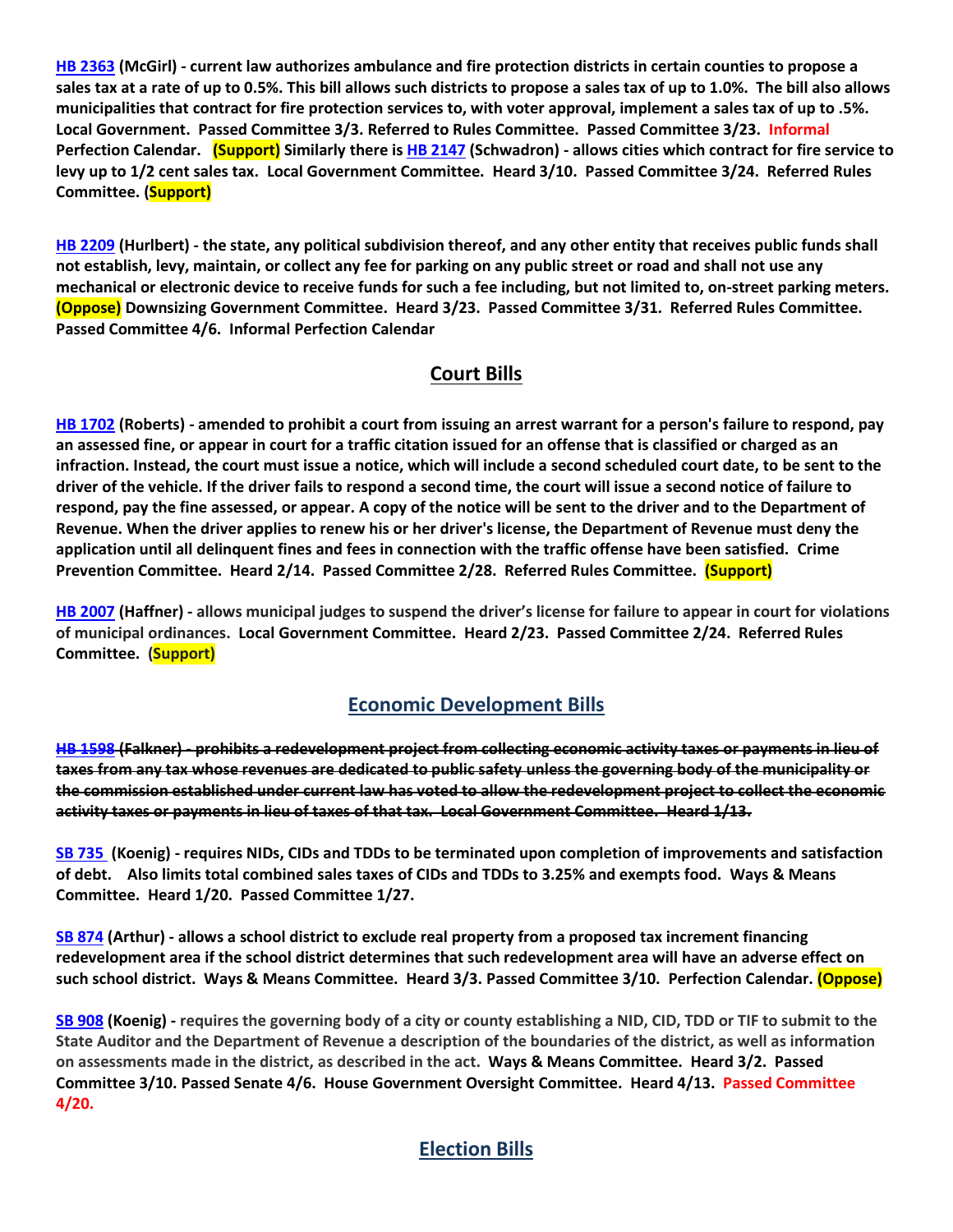**[HB 2363](https://www.house.mo.gov/bill.aspx?bill=HB2363&year=2022&code=R) (McGirl) - current law authorizes ambulance and fire protection districts in certain counties to propose a sales tax at a rate of up to 0.5%. This bill allows such districts to propose a sales tax of up to 1.0%. The bill also allows municipalities that contract for fire protection services to, with voter approval, implement a sales tax of up to .5%. Local Government. Passed Committee 3/3. Referred to Rules Committee. Passed Committee 3/23. Informal Perfection Calendar. (Support) Similarly there i[s HB 2147](https://house.mo.gov/Bill.aspx?bill=HB2147&year=2022&code=R) (Schwadron) - allows cities which contract for fire service to levy up to 1/2 cent sales tax. Local Government Committee. Heard 3/10. Passed Committee 3/24. Referred Rules Committee. (Support)**

**[HB 2209](https://house.mo.gov/Bill.aspx?bill=HB2209&year=2022&code=R) (Hurlbert) - the state, any political subdivision thereof, and any other entity that receives public funds shall not establish, levy, maintain, or collect any fee for parking on any public street or road and shall not use any mechanical or electronic device to receive funds for such a fee including, but not limited to, on-street parking meters. (Oppose) Downsizing Government Committee. Heard 3/23. Passed Committee 3/31. Referred Rules Committee. Passed Committee 4/6. Informal Perfection Calendar**

### **Court Bills**

**[HB 1702](https://house.mo.gov/Bill.aspx?bill=HB1702&year=2022&code=R) (Roberts) - amended to prohibit a court from issuing an arrest warrant for a person's failure to respond, pay an assessed fine, or appear in court for a traffic citation issued for an offense that is classified or charged as an infraction. Instead, the court must issue a notice, which will include a second scheduled court date, to be sent to the driver of the vehicle. If the driver fails to respond a second time, the court will issue a second notice of failure to respond, pay the fine assessed, or appear. A copy of the notice will be sent to the driver and to the Department of Revenue. When the driver applies to renew his or her driver's license, the Department of Revenue must deny the application until all delinquent fines and fees in connection with the traffic offense have been satisfied. Crime Prevention Committee. Heard 2/14. Passed Committee 2/28. Referred Rules Committee. (Support)** 

**[HB 2007](https://house.mo.gov/Bill.aspx?bill=HB2007&year=2022&code=R) (Haffner) - allows municipal judges to suspend the driver's license for failure to appear in court for violations of municipal ordinances. Local Government Committee. Heard 2/23. Passed Committee 2/24. Referred Rules Committee. (Support)**

## **Economic Development Bills**

**[HB 1598](https://house.mo.gov/Bill.aspx?bill=HB1598&year=2022&code=R) (Falkner) - prohibits a redevelopment project from collecting economic activity taxes or payments in lieu of taxes from any tax whose revenues are dedicated to public safety unless the governing body of the municipality or the commission established under current law has voted to allow the redevelopment project to collect the economic activity taxes or payments in lieu of taxes of that tax. Local Government Committee. Heard 1/13.**

**[SB 735](https://www.senate.mo.gov/22info/BTS_Web/Bill.aspx?SessionType=R&BillID=71259902%20%20) (Koenig) - requires NIDs, CIDs and TDDs to be terminated upon completion of improvements and satisfaction of debt. Also limits total combined sales taxes of CIDs and TDDs to 3.25% and exempts food. Ways & Means Committee. Heard 1/20. Passed Committee 1/27.**

**[SB 874](https://www.senate.mo.gov/22info/BTS_Web/Bill.aspx?SessionType=R&BillID=71259609) (Arthur) - allows a school district to exclude real property from a proposed tax increment financing redevelopment area if the school district determines that such redevelopment area will have an adverse effect on such school district. Ways & Means Committee. Heard 3/3. Passed Committee 3/10. Perfection Calendar. (Oppose)**

**[SB 908](https://www.senate.mo.gov/22info/BTS_Web/Bill.aspx?SessionType=R&BillID=71259913) (Koenig) - requires the governing body of a city or county establishing a NID, CID, TDD or TIF to submit to the State Auditor and the Department of Revenue a description of the boundaries of the district, as well as information on assessments made in the district, as described in the act. Ways & Means Committee. Heard 3/2. Passed Committee 3/10. Passed Senate 4/6. House Government Oversight Committee. Heard 4/13. Passed Committee 4/20.**

# **Election Bills**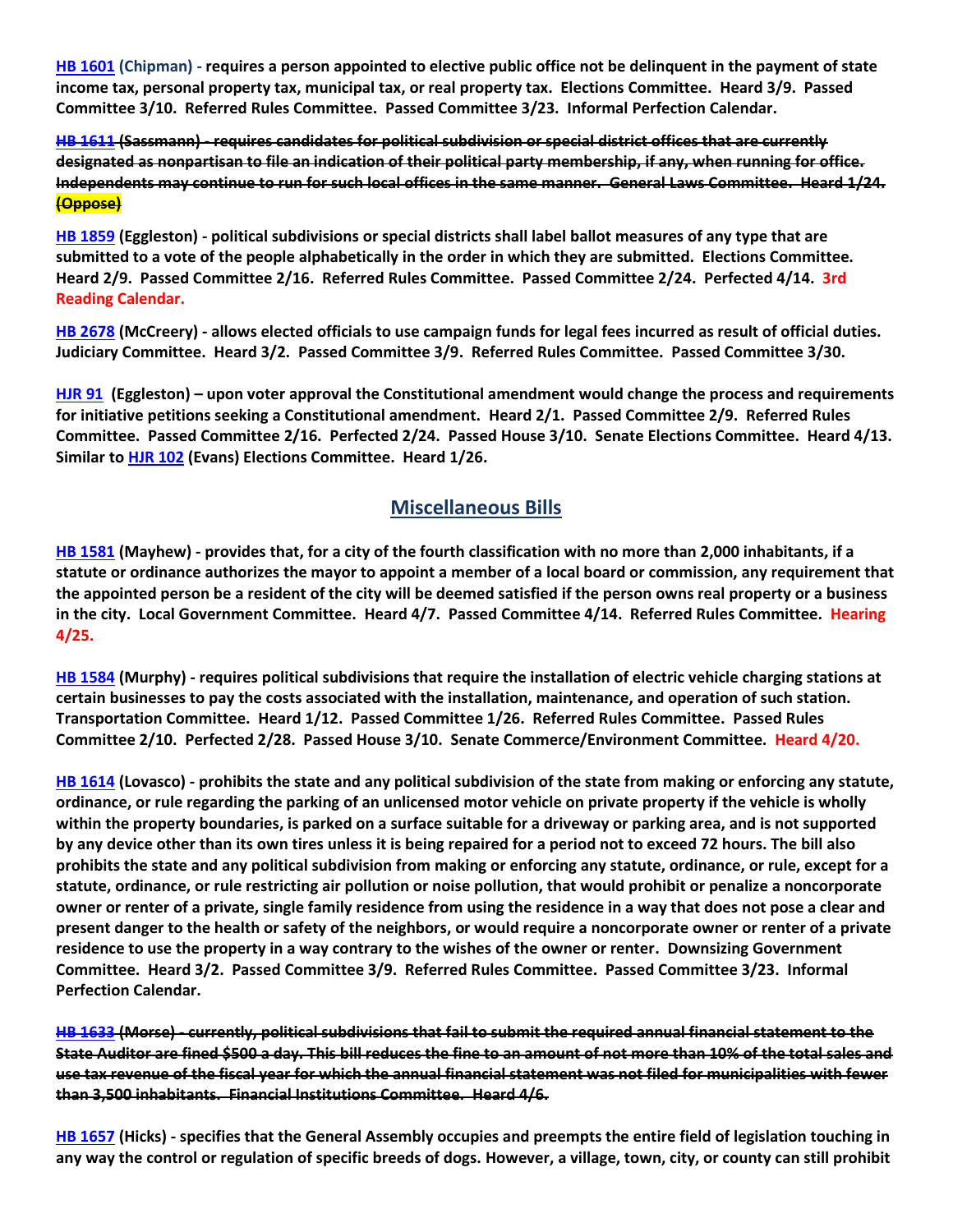**[HB 1601](https://house.mo.gov/Bill.aspx?bill=HB1601&year=2022&code=R) (Chipman) - requires a person appointed to elective public office not be delinquent in the payment of state income tax, personal property tax, municipal tax, or real property tax. Elections Committee. Heard 3/9. Passed Committee 3/10. Referred Rules Committee. Passed Committee 3/23. Informal Perfection Calendar.**

**HB [1611](https://house.mo.gov/Bill.aspx?bill=HB1611&year=2022&code=R) (Sassmann) - requires candidates for political subdivision or special district offices that are currently designated as nonpartisan to file an indication of their political party membership, if any, when running for office. Independents may continue to run for such local offices in the same manner. General Laws Committee. Heard 1/24. (Oppose)**

**[HB 1859](https://house.mo.gov/Bill.aspx?bill=HB1859&year=2022&code=R) (Eggleston) - political subdivisions or special districts shall label ballot measures of any type that are submitted to a vote of the people alphabetically in the order in which they are submitted. Elections Committee. Heard 2/9. Passed Committee 2/16. Referred Rules Committee. Passed Committee 2/24. Perfected 4/14. 3rd Reading Calendar.**

**[HB 2678](https://www.house.mo.gov/Bill.aspx?bill=HB2678&year=2022&code=R) (McCreery) - allows elected officials to use campaign funds for legal fees incurred as result of official duties. Judiciary Committee. Heard 3/2. Passed Committee 3/9. Referred Rules Committee. Passed Committee 3/30.**

**[HJR 91](https://www.house.mo.gov/Bill.aspx?bill=HJR91&year=2022&code=R) [\(Eggleston\)](https://www.house.mo.gov/MemberDetails.aspx?year=2022&district=2) – upon voter approval the Constitutional amendment would change the process and requirements for initiative petitions seeking a Constitutional amendment. Heard 2/1. Passed Committee 2/9. Referred Rules Committee. Passed Committee 2/16. Perfected 2/24. Passed House 3/10. Senate Elections Committee. Heard 4/13. Similar to [HJR 102](https://www.house.mo.gov/Bill.aspx?bill=HJR102&year=2022&code=R) (Evans) Elections Committee. Heard 1/26.** 

### **Miscellaneous Bills**

**[HB 1581](https://house.mo.gov/Bill.aspx?bill=HB1581&year=2022&code=R) (Mayhew) - provides that, for a city of the fourth classification with no more than 2,000 inhabitants, if a statute or ordinance authorizes the mayor to appoint a member of a local board or commission, any requirement that the appointed person be a resident of the city will be deemed satisfied if the person owns real property or a business in the city. Local Government Committee. Heard 4/7. Passed Committee 4/14. Referred Rules Committee. Hearing 4/25.**

**[HB 1584](https://house.mo.gov/Bill.aspx?bill=HB1584&year=2022&code=R) (Murphy) - requires political subdivisions that require the installation of electric vehicle charging stations at certain businesses to pay the costs associated with the installation, maintenance, and operation of such station. Transportation Committee. Heard 1/12. Passed Committee 1/26. Referred Rules Committee. Passed Rules Committee 2/10. Perfected 2/28. Passed House 3/10. Senate Commerce/Environment Committee. Heard 4/20.**

**[HB 1614](https://house.mo.gov/Bill.aspx?bill=HB1614&year=2022&code=R) (Lovasco) - prohibits the state and any political subdivision of the state from making or enforcing any statute, ordinance, or rule regarding the parking of an unlicensed motor vehicle on private property if the vehicle is wholly within the property boundaries, is parked on a surface suitable for a driveway or parking area, and is not supported by any device other than its own tires unless it is being repaired for a period not to exceed 72 hours. The bill also prohibits the state and any political subdivision from making or enforcing any statute, ordinance, or rule, except for a statute, ordinance, or rule restricting air pollution or noise pollution, that would prohibit or penalize a noncorporate owner or renter of a private, single family residence from using the residence in a way that does not pose a clear and present danger to the health or safety of the neighbors, or would require a noncorporate owner or renter of a private residence to use the property in a way contrary to the wishes of the owner or renter. Downsizing Government Committee. Heard 3/2. Passed Committee 3/9. Referred Rules Committee. Passed Committee 3/23. Informal Perfection Calendar.**

**[HB 1633](https://house.mo.gov/Bill.aspx?bill=HB1633&year=2022&code=R) (Morse) - currently, political subdivisions that fail to submit the required annual financial statement to the State Auditor are fined \$500 a day. This bill reduces the fine to an amount of not more than 10% of the total sales and use tax revenue of the fiscal year for which the annual financial statement was not filed for municipalities with fewer than 3,500 inhabitants. Financial Institutions Committee. Heard 4/6.**

**[HB 1657](https://house.mo.gov/Bill.aspx?bill=HB1657&year=2022&code=R) (Hicks) - specifies that the General Assembly occupies and preempts the entire field of legislation touching in any way the control or regulation of specific breeds of dogs. However, a village, town, city, or county can still prohibit**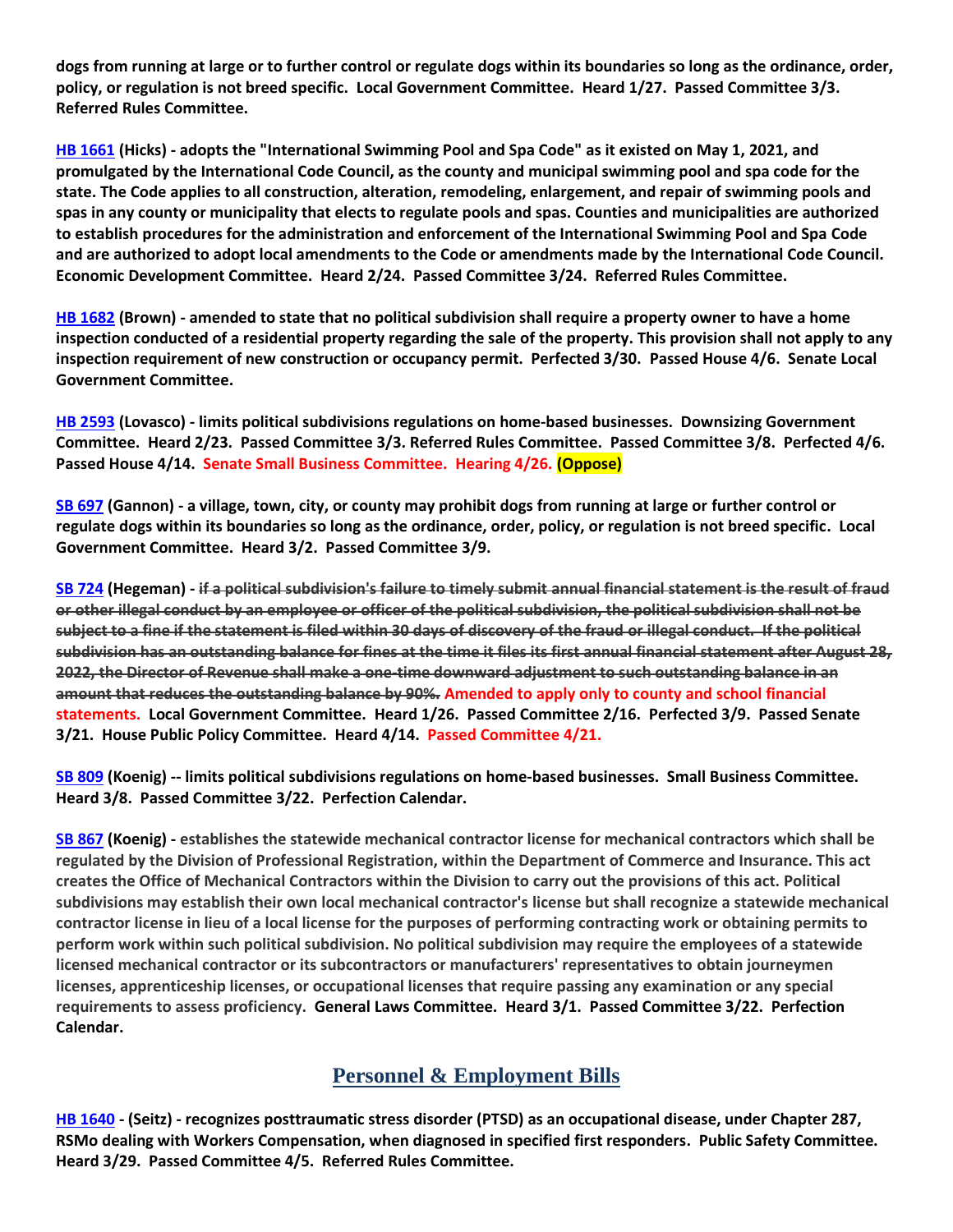**dogs from running at large or to further control or regulate dogs within its boundaries so long as the ordinance, order, policy, or regulation is not breed specific. Local Government Committee. Heard 1/27. Passed Committee 3/3. Referred Rules Committee.**

**[HB 1661](https://house.mo.gov/Bill.aspx?bill=HB1661&year=2022&code=R) (Hicks) - adopts the "International Swimming Pool and Spa Code" as it existed on May 1, 2021, and promulgated by the International Code Council, as the county and municipal swimming pool and spa code for the state. The Code applies to all construction, alteration, remodeling, enlargement, and repair of swimming pools and spas in any county or municipality that elects to regulate pools and spas. Counties and municipalities are authorized to establish procedures for the administration and enforcement of the International Swimming Pool and Spa Code and are authorized to adopt local amendments to the Code or amendments made by the International Code Council. Economic Development Committee. Heard 2/24. Passed Committee 3/24. Referred Rules Committee.**

**[HB 1682](https://www.house.mo.gov/Bill.aspx?bill=HB1682&year=2022&code=R) (Brown) - amended to state that no political subdivision shall require a property owner to have a home inspection conducted of a residential property regarding the sale of the property. This provision shall not apply to any inspection requirement of new construction or occupancy permit. Perfected 3/30. Passed House 4/6. Senate Local Government Committee.**

**[HB 2593](https://www.house.mo.gov/Bill.aspx?bill=HB2593&year=2022&code=R) (Lovasco) - limits political subdivisions regulations on home-based businesses. Downsizing Government Committee. Heard 2/23. Passed Committee 3/3. Referred Rules Committee. Passed Committee 3/8. Perfected 4/6. Passed House 4/14. Senate Small Business Committee. Hearing 4/26. (Oppose)**

**[SB 697](https://www.senate.mo.gov/22info/BTS_Web/Bill.aspx?SessionType=R&BillID=71259741) (Gannon) - a village, town, city, or county may prohibit dogs from running at large or further control or regulate dogs within its boundaries so long as the ordinance, order, policy, or regulation is not breed specific. Local Government Committee. Heard 3/2. Passed Committee 3/9.**

**[SB 724](https://www.senate.mo.gov/22info/BTS_Web/Bill.aspx?SessionType=R&BillID=71259818) (Hegeman) - if a political subdivision's failure to timely submit annual financial statement is the result of fraud or other illegal conduct by an employee or officer of the political subdivision, the political subdivision shall not be subject to a fine if the statement is filed within 30 days of discovery of the fraud or illegal conduct. If the political subdivision has an outstanding balance for fines at the time it files its first annual financial statement after August 28, 2022, the Director of Revenue shall make a one-time downward adjustment to such outstanding balance in an amount that reduces the outstanding balance by 90%. Amended to apply only to county and school financial statements. Local Government Committee. Heard 1/26. Passed Committee 2/16. Perfected 3/9. Passed Senate 3/21. House Public Policy Committee. Heard 4/14. Passed Committee 4/21.**

**[SB 809](https://www.senate.mo.gov/22info/BTS_Web/Bill.aspx?SessionType=R&BillID=71259907) (Koenig) -- limits political subdivisions regulations on home-based businesses. Small Business Committee. Heard 3/8. Passed Committee 3/22. Perfection Calendar.**

**[SB 867](https://www.senate.mo.gov/22info/BTS_Web/Bill.aspx?SessionType=R&BillID=71259909) (Koenig) - establishes the statewide mechanical contractor license for mechanical contractors which shall be regulated by the Division of Professional Registration, within the Department of Commerce and Insurance. This act creates the Office of Mechanical Contractors within the Division to carry out the provisions of this act. Political subdivisions may establish their own local mechanical contractor's license but shall recognize a statewide mechanical contractor license in lieu of a local license for the purposes of performing contracting work or obtaining permits to perform work within such political subdivision. No political subdivision may require the employees of a statewide licensed mechanical contractor or its subcontractors or manufacturers' representatives to obtain journeymen licenses, apprenticeship licenses, or occupational licenses that require passing any examination or any special requirements to assess proficiency. General Laws Committee. Heard 3/1. Passed Committee 3/22. Perfection Calendar.**

#### **Personnel & Employment Bills**

**[HB 1640](https://house.mo.gov/Bill.aspx?bill=HB1640&year=2022&code=R) - (Seitz) - recognizes posttraumatic stress disorder (PTSD) as an occupational disease, under Chapter 287, RSMo dealing with Workers Compensation, when diagnosed in specified first responders. Public Safety Committee. Heard 3/29. Passed Committee 4/5. Referred Rules Committee.**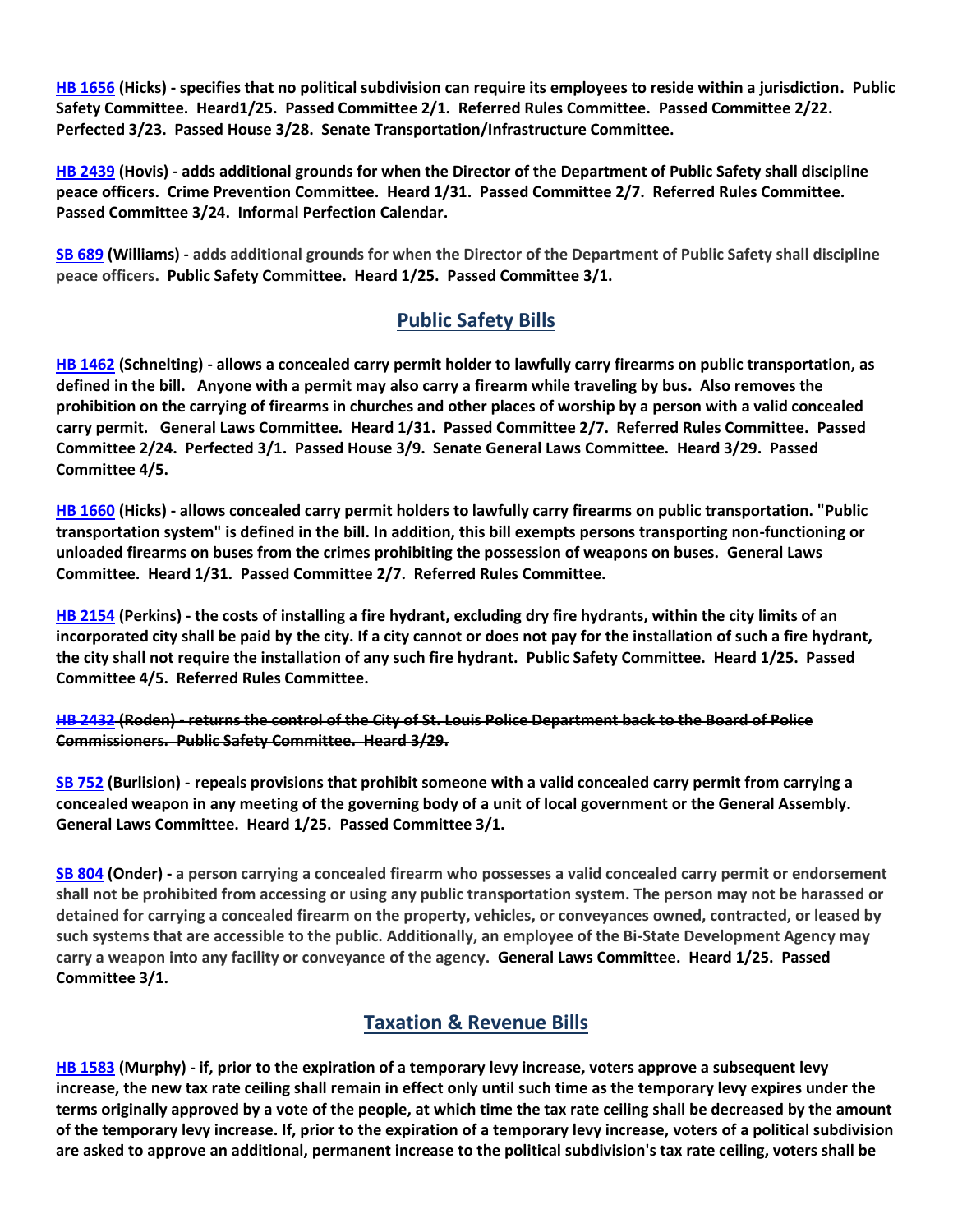**[HB 1656](https://house.mo.gov/Bill.aspx?bill=HB1656&year=2022&code=R) (Hicks) - specifies that no political subdivision can require its employees to reside within a jurisdiction. Public Safety Committee. Heard1/25. Passed Committee 2/1. Referred Rules Committee. Passed Committee 2/22. Perfected 3/23. Passed House 3/28. Senate Transportation/Infrastructure Committee.**

**[HB 2439](https://house.mo.gov/Bill.aspx?bill=HB2439&year=2022&code=R) (Hovis) - adds additional grounds for when the Director of the Department of Public Safety shall discipline peace officers. Crime Prevention Committee. Heard 1/31. Passed Committee 2/7. Referred Rules Committee. Passed Committee 3/24. Informal Perfection Calendar.**

**[SB 689](https://www.senate.mo.gov/22info/BTS_Web/Bill.aspx?SessionType=R&BillID=71259715) (Williams) - adds additional grounds for when the Director of the Department of Public Safety shall discipline peace officers. Public Safety Committee. Heard 1/25. Passed Committee 3/1.**

## **Public Safety Bills**

**[HB 1462](https://house.mo.gov/Bill.aspx?bill=HB1462&year=2022&code=R) (Schnelting) - allows a concealed carry permit holder to lawfully carry firearms on public transportation, as defined in the bill. Anyone with a permit may also carry a firearm while traveling by bus. Also removes the prohibition on the carrying of firearms in churches and other places of worship by a person with a valid concealed carry permit. General Laws Committee. Heard 1/31. Passed Committee 2/7. Referred Rules Committee. Passed Committee 2/24. Perfected 3/1. Passed House 3/9. Senate General Laws Committee. Heard 3/29. Passed Committee 4/5.**

**[HB 1660](https://house.mo.gov/Bill.aspx?bill=HB1660&year=2022&code=R) (Hicks) - allows concealed carry permit holders to lawfully carry firearms on public transportation. "Public transportation system" is defined in the bill. In addition, this bill exempts persons transporting non-functioning or unloaded firearms on buses from the crimes prohibiting the possession of weapons on buses. General Laws Committee. Heard 1/31. Passed Committee 2/7. Referred Rules Committee.**

**[HB 2154](https://house.mo.gov/Bill.aspx?bill=HB2154&year=2022&code=R) (Perkins) - the costs of installing a fire hydrant, excluding dry fire hydrants, within the city limits of an incorporated city shall be paid by the city. If a city cannot or does not pay for the installation of such a fire hydrant, the city shall not require the installation of any such fire hydrant. Public Safety Committee. Heard 1/25. Passed Committee 4/5. Referred Rules Committee.**

**[HB 2432](https://house.mo.gov/Bill.aspx?bill=HB2432&year=2022&code=R) (Roden) - returns the control of the City of St. Louis Police Department back to the Board of Police Commissioners. Public Safety Committee. Heard 3/29.**

**[SB 752](https://www.senate.mo.gov/22info/BTS_Web/Bill.aspx?SessionType=R&BillID=71259697) (Burlision) - repeals provisions that prohibit someone with a valid concealed carry permit from carrying a concealed weapon in any meeting of the governing body of a unit of local government or the General Assembly. General Laws Committee. Heard 1/25. Passed Committee 3/1.**

**[SB 804](https://www.senate.mo.gov/22info/BTS_Web/Bill.aspx?SessionType=R&BillID=71263286) (Onder) - a person carrying a concealed firearm who possesses a valid concealed carry permit or endorsement shall not be prohibited from accessing or using any public transportation system. The person may not be harassed or detained for carrying a concealed firearm on the property, vehicles, or conveyances owned, contracted, or leased by such systems that are accessible to the public. Additionally, an employee of the Bi-State Development Agency may carry a weapon into any facility or conveyance of the agency. General Laws Committee. Heard 1/25. Passed Committee 3/1.**

#### **Taxation & Revenue Bills**

**[HB 1583](https://house.mo.gov/Bill.aspx?bill=HB1583&year=2022&code=R) (Murphy) - if, prior to the expiration of a temporary levy increase, voters approve a subsequent levy increase, the new tax rate ceiling shall remain in effect only until such time as the temporary levy expires under the terms originally approved by a vote of the people, at which time the tax rate ceiling shall be decreased by the amount of the temporary levy increase. If, prior to the expiration of a temporary levy increase, voters of a political subdivision are asked to approve an additional, permanent increase to the political subdivision's tax rate ceiling, voters shall be**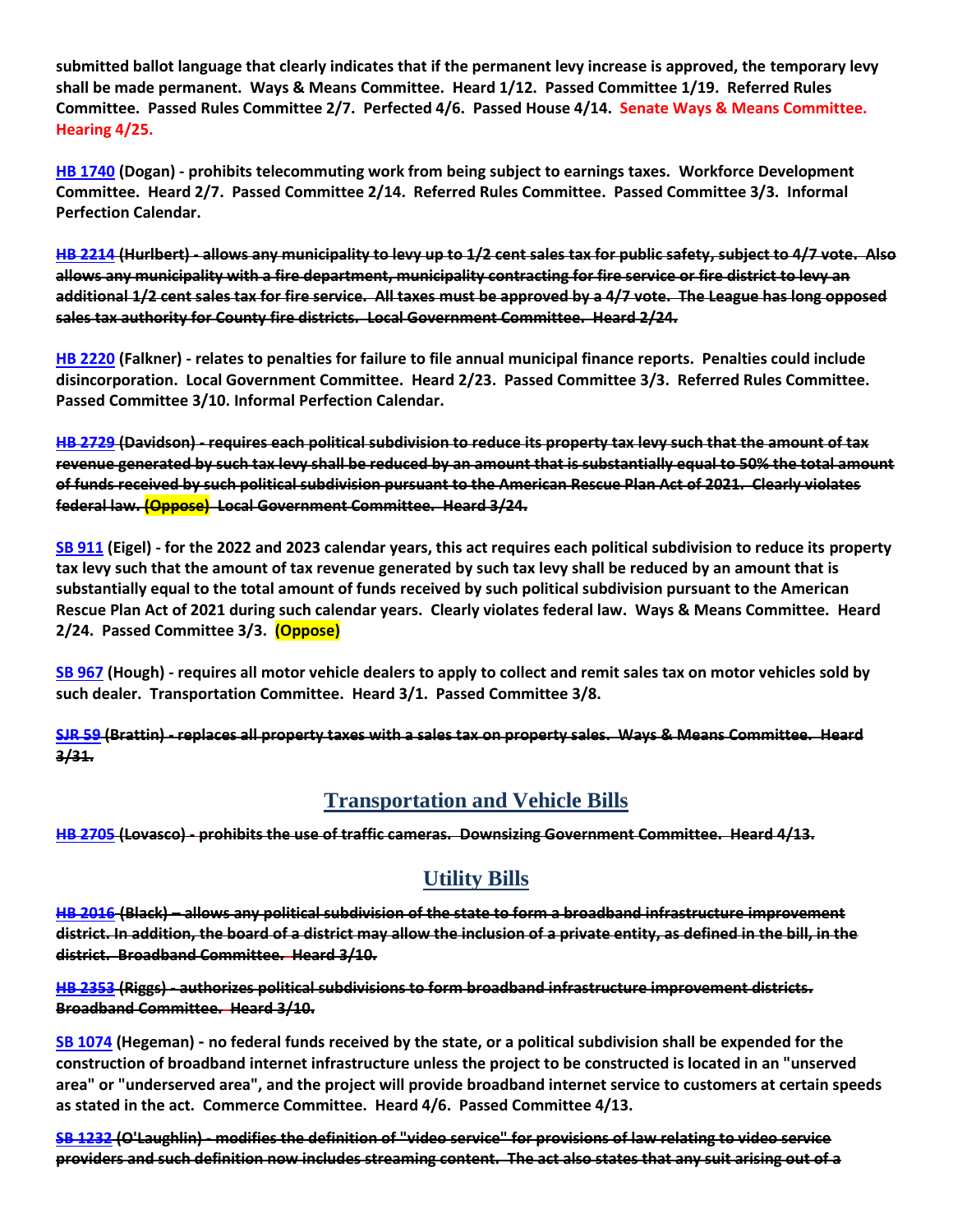**submitted ballot language that clearly indicates that if the permanent levy increase is approved, the temporary levy shall be made permanent. Ways & Means Committee. Heard 1/12. Passed Committee 1/19. Referred Rules Committee. Passed Rules Committee 2/7. Perfected 4/6. Passed House 4/14. Senate Ways & Means Committee. Hearing 4/25.**

**[HB 1740](https://house.mo.gov/Bill.aspx?bill=HB1740&year=2022&code=R) (Dogan) - prohibits telecommuting work from being subject to earnings taxes. Workforce Development Committee. Heard 2/7. Passed Committee 2/14. Referred Rules Committee. Passed Committee 3/3. Informal Perfection Calendar.**

**[HB 2214](https://house.mo.gov/Bill.aspx?bill=HB2214&year=2022&code=R) (Hurlbert) - allows any municipality to levy up to 1/2 cent sales tax for public safety, subject to 4/7 vote. Also allows any municipality with a fire department, municipality contracting for fire service or fire district to levy an additional 1/2 cent sales tax for fire service. All taxes must be approved by a 4/7 vote. The League has long opposed sales tax authority for County fire districts. Local Government Committee. Heard 2/24.**

**[HB 2220](https://house.mo.gov/Bill.aspx?bill=HB2220&year=2022&code=R) (Falkner) - relates to penalties for failure to file annual municipal finance reports. Penalties could include disincorporation. Local Government Committee. Heard 2/23. Passed Committee 3/3. Referred Rules Committee. Passed Committee 3/10. Informal Perfection Calendar.**

**[HB 2729](https://www.house.mo.gov/Bill.aspx?bill=HB2729&year=2022&code=R) (Davidson) - requires each political subdivision to reduce its property tax levy such that the amount of tax revenue generated by such tax levy shall be reduced by an amount that is substantially equal to 50% the total amount of funds received by such political subdivision pursuant to the American Rescue Plan Act of 2021. Clearly violates federal law. (Oppose) Local Government Committee. Heard 3/24.**

**[SB 911](https://www.senate.mo.gov/22info/BTS_Web/Bill.aspx?SessionType=R&BillID=71259794) (Eigel) - for the 2022 and 2023 calendar years, this act requires each political subdivision to reduce its property tax levy such that the amount of tax revenue generated by such tax levy shall be reduced by an amount that is substantially equal to the total amount of funds received by such political subdivision pursuant to the American Rescue Plan Act of 2021 during such calendar years. Clearly violates federal law. Ways & Means Committee. Heard 2/24. Passed Committee 3/3. (Oppose)**

**[SB 967](https://www.senate.mo.gov/22info/BTS_Web/Bill.aspx?SessionType=R&BillID=71406282) (Hough) - requires all motor vehicle dealers to apply to collect and remit sales tax on motor vehicles sold by such dealer. Transportation Committee. Heard 3/1. Passed Committee 3/8.**

**[SJR 59](https://www.senate.mo.gov/22info/BTS_Web/Bill.aspx?SessionType=R&BillID=77307107) (Brattin) - replaces all property taxes with a sales tax on property sales. Ways & Means Committee. Heard 3/31.**

## **Transportation and Vehicle Bills**

**[HB 2705](https://www.house.mo.gov/Bill.aspx?bill=HB2705&year=2022&code=R) (Lovasco) - prohibits the use of traffic cameras. Downsizing Government Committee. Heard 4/13.**

# **Utility Bills**

**[HB 2016](https://www.house.mo.gov/Bill.aspx?bill=HB2016&year=2022&code=R) (Black) – allows any political subdivision of the state to form a broadband infrastructure improvement district. In addition, the board of a district may allow the inclusion of a private entity, as defined in the bill, in the district. Broadband Committee. Heard 3/10.**

#### **[HB 2353](https://www.house.mo.gov/Bill.aspx?bill=HB2353&year=2022&code=R) (Riggs) - authorizes political subdivisions to form broadband infrastructure improvement districts. Broadband Committee. Heard 3/10.**

**[SB 1074](https://www.senate.mo.gov/22info/BTS_Web/Bill.aspx?SessionType=R&BillID=73644707) (Hegeman) - no federal funds received by the state, or a political subdivision shall be expended for the construction of broadband internet infrastructure unless the project to be constructed is located in an "unserved area" or "underserved area", and the project will provide broadband internet service to customers at certain speeds as stated in the act. Commerce Committee. Heard 4/6. Passed Committee 4/13.**

**[SB 1232](https://www.senate.mo.gov/22info/BTS_Web/Bill.aspx?SessionType=R&BillID=77283613) (O'Laughlin) - modifies the definition of "video service" for provisions of law relating to video service providers and such definition now includes streaming content. The act also states that any suit arising out of a**